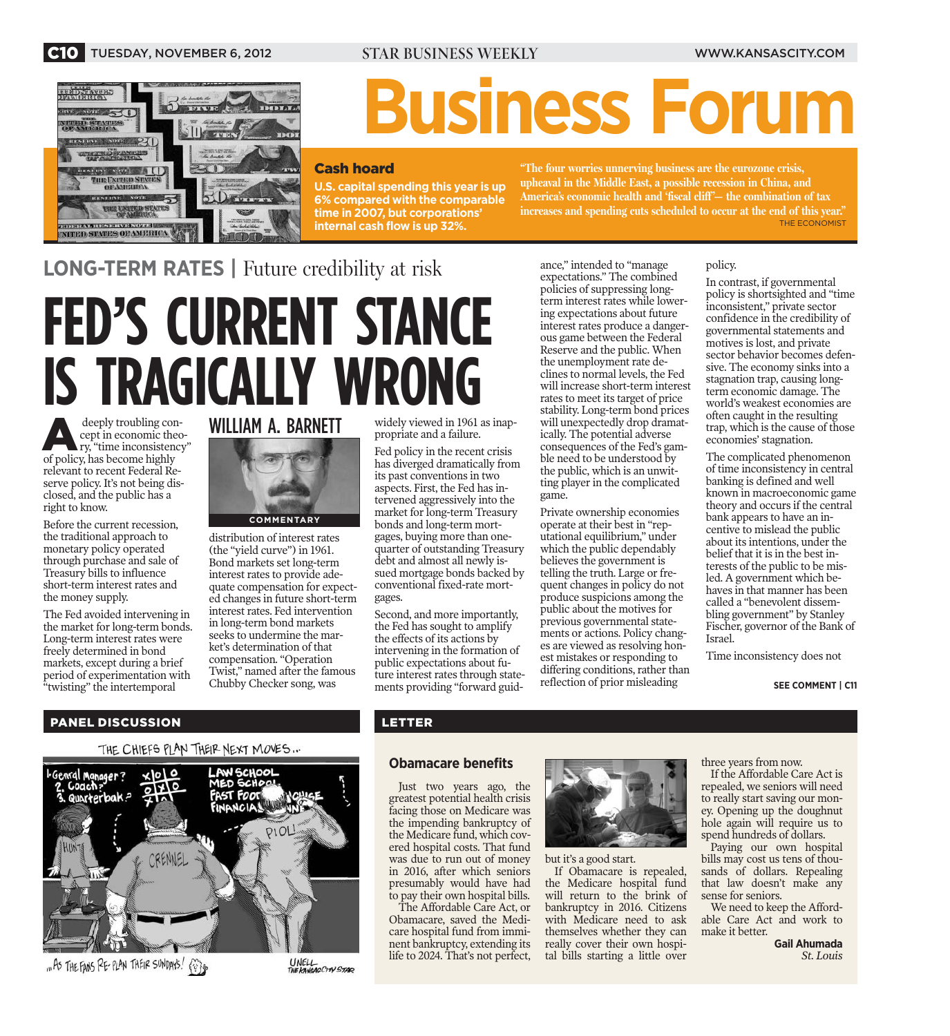

# **Business Forum**

## Cash hoard

**U.S. capital spending this year is up 6% compared with the comparable time in 2007, but corporations' internal cash flow is up 32%.**

**"The four worries unnerving business are the eurozone crisis, upheaval in the Middle East, a possible recession in China, and America's economic health and 'fiscal cliff '— the combination of tax increases and spending cuts scheduled to occur at the end of this year."** THE ECONOMIST

**LONG-TERM RATES |** Future credibility at risk

# **FED'S CURRENT STANCE IS TRAGICALLY WRONG**

deeply troubling concept in economic theory, "time inconsistency" cept in economic theoof policy, has become highly relevant to recent Federal Reserve policy. It's not being disclosed, and the public has a right to know.

Before the current recession, the traditional approach to monetary policy operated through purchase and sale of Treasury bills to influence short-term interest rates and the money supply.

The Fed avoided intervening in the market for long-term bonds. Long-term interest rates were freely determined in bond markets, except during a brief period of experimentation with "twisting" the intertemporal





distribution of interest rates (the "yield curve") in 1961. Bond markets set long-term interest rates to provide adequate compensation for expected changes in future short-term interest rates. Fed intervention in long-term bond markets seeks to undermine the market's determination of that compensation. "Operation Twist," named after the famous Chubby Checker song, was

UNELL<br>THE KANSAS CITY STAR

widely viewed in 1961 as inappropriate and a failure.

Fed policy in the recent crisis has diverged dramatically from its past conventions in two aspects. First, the Fed has intervened aggressively into the market for long-term Treasury bonds and long-term mortgages, buying more than onequarter of outstanding Treasury debt and almost all newly issued mortgage bonds backed by conventional fixed-rate mortgages.

Second, and more importantly, the Fed has sought to amplify the effects of its actions by intervening in the formation of public expectations about future interest rates through statements providing "forward guidance," intended to "manage expectations." The combined policies of suppressing longterm interest rates while lowering expectations about future interest rates produce a dangerous game between the Federal Reserve and the public. When the unemployment rate declines to normal levels, the Fed will increase short-term interest rates to meet its target of price stability. Long-term bond prices will unexpectedly drop dramatically. The potential adverse consequences of the Fed's gamble need to be understood by the public, which is an unwitting player in the complicated game.

Private ownership economies operate at their best in "reputational equilibrium," under which the public dependably believes the government is telling the truth. Large or frequent changes in policy do not produce suspicions among the public about the motives for previous governmental statements or actions. Policy changes are viewed as resolving honest mistakes or responding to differing conditions, rather than reflection of prior misleading

## policy.

In contrast, if governmental policy is shortsighted and "time inconsistent," private sector confidence in the credibility of governmental statements and motives is lost, and private sector behavior becomes defensive. The economy sinks into a stagnation trap, causing longterm economic damage. The world's weakest economies are often caught in the resulting trap, which is the cause of those economies' stagnation.

The complicated phenomenon of time inconsistency in central banking is defined and well known in macroeconomic game theory and occurs if the central bank appears to have an incentive to mislead the public about its intentions, under the belief that it is in the best interests of the public to be misled. A government which behaves in that manner has been called a "benevolent dissembling government" by Stanley Fischer, governor of the Bank of Israel.

Time inconsistency does not

### **SEE COMMENT | C11**

## PANEL DISCUSSION

## THE CHIEFS PLAN THEIR NEXT MOVES...



"As THE FANS RE-PLAN THEIR SUNDAYS!  $\{$  $\}$ 

## LETTER

## **Obamacare benefits**

Just two years ago, the greatest potential health crisis facing those on Medicare was the impending bankruptcy of the Medicare fund, which covered hospital costs. That fund was due to run out of money in 2016, after which seniors presumably would have had to pay their own hospital bills.

The Affordable Care Act, or Obamacare, saved the Medicare hospital fund from imminent bankruptcy, extending its life to 2024. That's not perfect,



### but it's a good start.

If Obamacare is repealed, the Medicare hospital fund will return to the brink of bankruptcy in 2016. Citizens with Medicare need to ask themselves whether they can really cover their own hospital bills starting a little over three years from now.

If the Affordable Care Act is repealed, we seniors will need to really start saving our money. Opening up the doughnut hole again will require us to spend hundreds of dollars.

Paying our own hospital bills may cost us tens of thousands of dollars. Repealing that law doesn't make any sense for seniors.

We need to keep the Affordable Care Act and work to make it better.

**Gail Ahumada** *St. Louis*